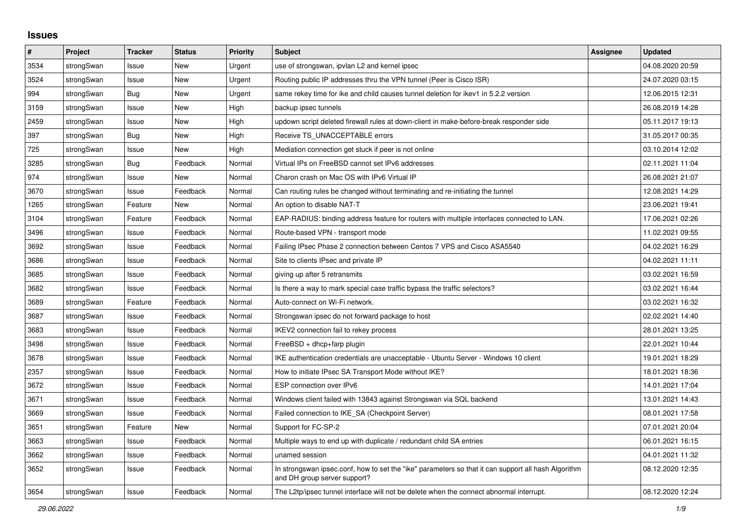## **Issues**

| #    | Project    | <b>Tracker</b> | <b>Status</b> | <b>Priority</b> | <b>Subject</b>                                                                                                                      | Assignee | <b>Updated</b>   |
|------|------------|----------------|---------------|-----------------|-------------------------------------------------------------------------------------------------------------------------------------|----------|------------------|
| 3534 | strongSwan | Issue          | New           | Urgent          | use of strongswan, ipvlan L2 and kernel ipsec                                                                                       |          | 04.08.2020 20:59 |
| 3524 | strongSwan | Issue          | <b>New</b>    | Urgent          | Routing public IP addresses thru the VPN tunnel (Peer is Cisco ISR)                                                                 |          | 24.07.2020 03:15 |
| 994  | strongSwan | Bug            | <b>New</b>    | Urgent          | same rekey time for ike and child causes tunnel deletion for ikev1 in 5.2.2 version                                                 |          | 12.06.2015 12:31 |
| 3159 | strongSwan | Issue          | New           | High            | backup ipsec tunnels                                                                                                                |          | 26.08.2019 14:28 |
| 2459 | strongSwan | Issue          | New           | High            | updown script deleted firewall rules at down-client in make-before-break responder side                                             |          | 05.11.2017 19:13 |
| 397  | strongSwan | <b>Bug</b>     | <b>New</b>    | High            | Receive TS_UNACCEPTABLE errors                                                                                                      |          | 31.05.2017 00:35 |
| 725  | strongSwan | Issue          | <b>New</b>    | High            | Mediation connection get stuck if peer is not online                                                                                |          | 03.10.2014 12:02 |
| 3285 | strongSwan | <b>Bug</b>     | Feedback      | Normal          | Virtual IPs on FreeBSD cannot set IPv6 addresses                                                                                    |          | 02.11.2021 11:04 |
| 974  | strongSwan | Issue          | New           | Normal          | Charon crash on Mac OS with IPv6 Virtual IP                                                                                         |          | 26.08.2021 21:07 |
| 3670 | strongSwan | Issue          | Feedback      | Normal          | Can routing rules be changed without terminating and re-initiating the tunnel                                                       |          | 12.08.2021 14:29 |
| 1265 | strongSwan | Feature        | <b>New</b>    | Normal          | An option to disable NAT-T                                                                                                          |          | 23.06.2021 19:41 |
| 3104 | strongSwan | Feature        | Feedback      | Normal          | EAP-RADIUS: binding address feature for routers with multiple interfaces connected to LAN.                                          |          | 17.06.2021 02:26 |
| 3496 | strongSwan | Issue          | Feedback      | Normal          | Route-based VPN - transport mode                                                                                                    |          | 11.02.2021 09:55 |
| 3692 | strongSwan | Issue          | Feedback      | Normal          | Failing IPsec Phase 2 connection between Centos 7 VPS and Cisco ASA5540                                                             |          | 04.02.2021 16:29 |
| 3686 | strongSwan | Issue          | Feedback      | Normal          | Site to clients IPsec and private IP                                                                                                |          | 04.02.2021 11:11 |
| 3685 | strongSwan | Issue          | Feedback      | Normal          | giving up after 5 retransmits                                                                                                       |          | 03.02.2021 16:59 |
| 3682 | strongSwan | Issue          | Feedback      | Normal          | Is there a way to mark special case traffic bypass the traffic selectors?                                                           |          | 03.02.2021 16:44 |
| 3689 | strongSwan | Feature        | Feedback      | Normal          | Auto-connect on Wi-Fi network.                                                                                                      |          | 03.02.2021 16:32 |
| 3687 | strongSwan | Issue          | Feedback      | Normal          | Strongswan ipsec do not forward package to host                                                                                     |          | 02.02.2021 14:40 |
| 3683 | strongSwan | Issue          | Feedback      | Normal          | IKEV2 connection fail to rekey process                                                                                              |          | 28.01.2021 13:25 |
| 3498 | strongSwan | Issue          | Feedback      | Normal          | $FreeBSD + dhop + farp plugin$                                                                                                      |          | 22.01.2021 10:44 |
| 3678 | strongSwan | Issue          | Feedback      | Normal          | IKE authentication credentials are unacceptable - Ubuntu Server - Windows 10 client                                                 |          | 19.01.2021 18:29 |
| 2357 | strongSwan | Issue          | Feedback      | Normal          | How to initiate IPsec SA Transport Mode without IKE?                                                                                |          | 18.01.2021 18:36 |
| 3672 | strongSwan | Issue          | Feedback      | Normal          | ESP connection over IPv6                                                                                                            |          | 14.01.2021 17:04 |
| 3671 | strongSwan | Issue          | Feedback      | Normal          | Windows client failed with 13843 against Strongswan via SQL backend                                                                 |          | 13.01.2021 14:43 |
| 3669 | strongSwan | Issue          | Feedback      | Normal          | Failed connection to IKE_SA (Checkpoint Server)                                                                                     |          | 08.01.2021 17:58 |
| 3651 | strongSwan | Feature        | New           | Normal          | Support for FC-SP-2                                                                                                                 |          | 07.01.2021 20:04 |
| 3663 | strongSwan | Issue          | Feedback      | Normal          | Multiple ways to end up with duplicate / redundant child SA entries                                                                 |          | 06.01.2021 16:15 |
| 3662 | strongSwan | Issue          | Feedback      | Normal          | unamed session                                                                                                                      |          | 04.01.2021 11:32 |
| 3652 | strongSwan | Issue          | Feedback      | Normal          | In strongswan ipsec.conf, how to set the "ike" parameters so that it can support all hash Algorithm<br>and DH group server support? |          | 08.12.2020 12:35 |
| 3654 | strongSwan | Issue          | Feedback      | Normal          | The L2tp/ipsec tunnel interface will not be delete when the connect abnormal interrupt.                                             |          | 08.12.2020 12:24 |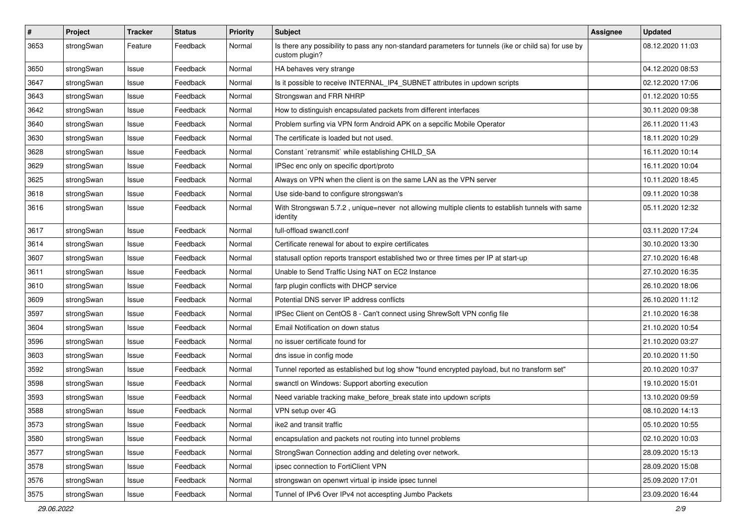| $\pmb{\#}$ | Project    | <b>Tracker</b> | <b>Status</b> | <b>Priority</b> | <b>Subject</b>                                                                                                          | Assignee | <b>Updated</b>   |
|------------|------------|----------------|---------------|-----------------|-------------------------------------------------------------------------------------------------------------------------|----------|------------------|
| 3653       | strongSwan | Feature        | Feedback      | Normal          | Is there any possibility to pass any non-standard parameters for tunnels (ike or child sa) for use by<br>custom plugin? |          | 08.12.2020 11:03 |
| 3650       | strongSwan | Issue          | Feedback      | Normal          | HA behaves very strange                                                                                                 |          | 04.12.2020 08:53 |
| 3647       | strongSwan | Issue          | Feedback      | Normal          | Is it possible to receive INTERNAL_IP4_SUBNET attributes in updown scripts                                              |          | 02.12.2020 17:06 |
| 3643       | strongSwan | Issue          | Feedback      | Normal          | Strongswan and FRR NHRP                                                                                                 |          | 01.12.2020 10:55 |
| 3642       | strongSwan | Issue          | Feedback      | Normal          | How to distinguish encapsulated packets from different interfaces                                                       |          | 30.11.2020 09:38 |
| 3640       | strongSwan | Issue          | Feedback      | Normal          | Problem surfing via VPN form Android APK on a sepcific Mobile Operator                                                  |          | 26.11.2020 11:43 |
| 3630       | strongSwan | Issue          | Feedback      | Normal          | The certificate is loaded but not used.                                                                                 |          | 18.11.2020 10:29 |
| 3628       | strongSwan | lssue          | Feedback      | Normal          | Constant `retransmit` while establishing CHILD SA                                                                       |          | 16.11.2020 10:14 |
| 3629       | strongSwan | Issue          | Feedback      | Normal          | IPSec enc only on specific dport/proto                                                                                  |          | 16.11.2020 10:04 |
| 3625       | strongSwan | Issue          | Feedback      | Normal          | Always on VPN when the client is on the same LAN as the VPN server                                                      |          | 10.11.2020 18:45 |
| 3618       | strongSwan | Issue          | Feedback      | Normal          | Use side-band to configure strongswan's                                                                                 |          | 09.11.2020 10:38 |
| 3616       | strongSwan | Issue          | Feedback      | Normal          | With Strongswan 5.7.2, unique=never not allowing multiple clients to establish tunnels with same<br>identity            |          | 05.11.2020 12:32 |
| 3617       | strongSwan | Issue          | Feedback      | Normal          | full-offload swanctl.conf                                                                                               |          | 03.11.2020 17:24 |
| 3614       | strongSwan | Issue          | Feedback      | Normal          | Certificate renewal for about to expire certificates                                                                    |          | 30.10.2020 13:30 |
| 3607       | strongSwan | Issue          | Feedback      | Normal          | statusall option reports transport established two or three times per IP at start-up                                    |          | 27.10.2020 16:48 |
| 3611       | strongSwan | Issue          | Feedback      | Normal          | Unable to Send Traffic Using NAT on EC2 Instance                                                                        |          | 27.10.2020 16:35 |
| 3610       | strongSwan | Issue          | Feedback      | Normal          | farp plugin conflicts with DHCP service                                                                                 |          | 26.10.2020 18:06 |
| 3609       | strongSwan | Issue          | Feedback      | Normal          | Potential DNS server IP address conflicts                                                                               |          | 26.10.2020 11:12 |
| 3597       | strongSwan | Issue          | Feedback      | Normal          | IPSec Client on CentOS 8 - Can't connect using ShrewSoft VPN config file                                                |          | 21.10.2020 16:38 |
| 3604       | strongSwan | lssue          | Feedback      | Normal          | Email Notification on down status                                                                                       |          | 21.10.2020 10:54 |
| 3596       | strongSwan | Issue          | Feedback      | Normal          | no issuer certificate found for                                                                                         |          | 21.10.2020 03:27 |
| 3603       | strongSwan | Issue          | Feedback      | Normal          | dns issue in config mode                                                                                                |          | 20.10.2020 11:50 |
| 3592       | strongSwan | Issue          | Feedback      | Normal          | Tunnel reported as established but log show "found encrypted payload, but no transform set"                             |          | 20.10.2020 10:37 |
| 3598       | strongSwan | Issue          | Feedback      | Normal          | swanctl on Windows: Support aborting execution                                                                          |          | 19.10.2020 15:01 |
| 3593       | strongSwan | Issue          | Feedback      | Normal          | Need variable tracking make_before_break state into updown scripts                                                      |          | 13.10.2020 09:59 |
| 3588       | strongSwan | Issue          | Feedback      | Normal          | VPN setup over 4G                                                                                                       |          | 08.10.2020 14:13 |
| 3573       | strongSwan | Issue          | Feedback      | Normal          | ike2 and transit traffic                                                                                                |          | 05.10.2020 10:55 |
| 3580       | strongSwan | Issue          | Feedback      | Normal          | encapsulation and packets not routing into tunnel problems                                                              |          | 02.10.2020 10:03 |
| 3577       | strongSwan | Issue          | Feedback      | Normal          | StrongSwan Connection adding and deleting over network.                                                                 |          | 28.09.2020 15:13 |
| 3578       | strongSwan | Issue          | Feedback      | Normal          | ipsec connection to FortiClient VPN                                                                                     |          | 28.09.2020 15:08 |
| 3576       | strongSwan | Issue          | Feedback      | Normal          | strongswan on openwrt virtual ip inside ipsec tunnel                                                                    |          | 25.09.2020 17:01 |
| 3575       | strongSwan | Issue          | Feedback      | Normal          | Tunnel of IPv6 Over IPv4 not accespting Jumbo Packets                                                                   |          | 23.09.2020 16:44 |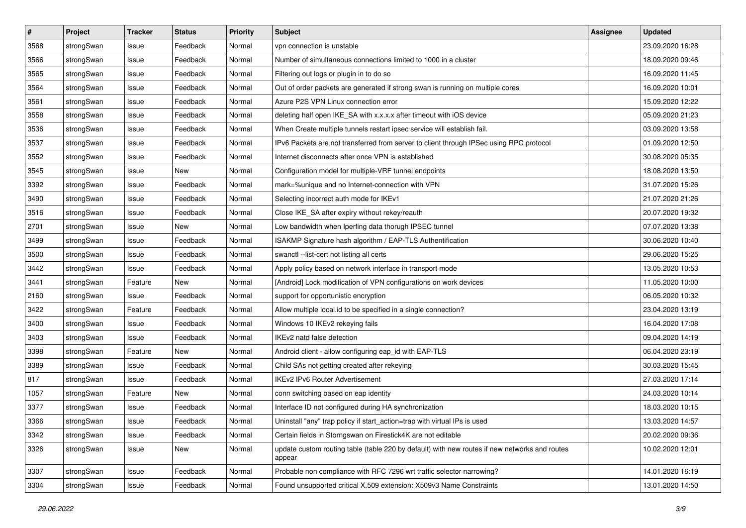| $\pmb{\#}$ | Project    | <b>Tracker</b> | <b>Status</b> | <b>Priority</b> | <b>Subject</b>                                                                                          | <b>Assignee</b> | <b>Updated</b>   |
|------------|------------|----------------|---------------|-----------------|---------------------------------------------------------------------------------------------------------|-----------------|------------------|
| 3568       | strongSwan | Issue          | Feedback      | Normal          | vpn connection is unstable                                                                              |                 | 23.09.2020 16:28 |
| 3566       | strongSwan | Issue          | Feedback      | Normal          | Number of simultaneous connections limited to 1000 in a cluster                                         |                 | 18.09.2020 09:46 |
| 3565       | strongSwan | Issue          | Feedback      | Normal          | Filtering out logs or plugin in to do so                                                                |                 | 16.09.2020 11:45 |
| 3564       | strongSwan | Issue          | Feedback      | Normal          | Out of order packets are generated if strong swan is running on multiple cores                          |                 | 16.09.2020 10:01 |
| 3561       | strongSwan | Issue          | Feedback      | Normal          | Azure P2S VPN Linux connection error                                                                    |                 | 15.09.2020 12:22 |
| 3558       | strongSwan | Issue          | Feedback      | Normal          | deleting half open IKE_SA with x.x.x.x after timeout with iOS device                                    |                 | 05.09.2020 21:23 |
| 3536       | strongSwan | Issue          | Feedback      | Normal          | When Create multiple tunnels restart ipsec service will establish fail.                                 |                 | 03.09.2020 13:58 |
| 3537       | strongSwan | Issue          | Feedback      | Normal          | IPv6 Packets are not transferred from server to client through IPSec using RPC protocol                 |                 | 01.09.2020 12:50 |
| 3552       | strongSwan | Issue          | Feedback      | Normal          | Internet disconnects after once VPN is established                                                      |                 | 30.08.2020 05:35 |
| 3545       | strongSwan | Issue          | New           | Normal          | Configuration model for multiple-VRF tunnel endpoints                                                   |                 | 18.08.2020 13:50 |
| 3392       | strongSwan | Issue          | Feedback      | Normal          | mark=%unique and no Internet-connection with VPN                                                        |                 | 31.07.2020 15:26 |
| 3490       | strongSwan | Issue          | Feedback      | Normal          | Selecting incorrect auth mode for IKEv1                                                                 |                 | 21.07.2020 21:26 |
| 3516       | strongSwan | Issue          | Feedback      | Normal          | Close IKE_SA after expiry without rekey/reauth                                                          |                 | 20.07.2020 19:32 |
| 2701       | strongSwan | Issue          | New           | Normal          | Low bandwidth when Iperfing data thorugh IPSEC tunnel                                                   |                 | 07.07.2020 13:38 |
| 3499       | strongSwan | Issue          | Feedback      | Normal          | ISAKMP Signature hash algorithm / EAP-TLS Authentification                                              |                 | 30.06.2020 10:40 |
| 3500       | strongSwan | Issue          | Feedback      | Normal          | swanctl --list-cert not listing all certs                                                               |                 | 29.06.2020 15:25 |
| 3442       | strongSwan | Issue          | Feedback      | Normal          | Apply policy based on network interface in transport mode                                               |                 | 13.05.2020 10:53 |
| 3441       | strongSwan | Feature        | New           | Normal          | [Android] Lock modification of VPN configurations on work devices                                       |                 | 11.05.2020 10:00 |
| 2160       | strongSwan | Issue          | Feedback      | Normal          | support for opportunistic encryption                                                                    |                 | 06.05.2020 10:32 |
| 3422       | strongSwan | Feature        | Feedback      | Normal          | Allow multiple local.id to be specified in a single connection?                                         |                 | 23.04.2020 13:19 |
| 3400       | strongSwan | Issue          | Feedback      | Normal          | Windows 10 IKEv2 rekeying fails                                                                         |                 | 16.04.2020 17:08 |
| 3403       | strongSwan | Issue          | Feedback      | Normal          | IKEv2 natd false detection                                                                              |                 | 09.04.2020 14:19 |
| 3398       | strongSwan | Feature        | New           | Normal          | Android client - allow configuring eap_id with EAP-TLS                                                  |                 | 06.04.2020 23:19 |
| 3389       | strongSwan | Issue          | Feedback      | Normal          | Child SAs not getting created after rekeying                                                            |                 | 30.03.2020 15:45 |
| 817        | strongSwan | Issue          | Feedback      | Normal          | IKEv2 IPv6 Router Advertisement                                                                         |                 | 27.03.2020 17:14 |
| 1057       | strongSwan | Feature        | New           | Normal          | conn switching based on eap identity                                                                    |                 | 24.03.2020 10:14 |
| 3377       | strongSwan | Issue          | Feedback      | Normal          | Interface ID not configured during HA synchronization                                                   |                 | 18.03.2020 10:15 |
| 3366       | strongSwan | Issue          | Feedback      | Normal          | Uninstall "any" trap policy if start_action=trap with virtual IPs is used                               |                 | 13.03.2020 14:57 |
| 3342       | strongSwan | Issue          | Feedback      | Normal          | Certain fields in Storngswan on Firestick4K are not editable                                            |                 | 20.02.2020 09:36 |
| 3326       | strongSwan | Issue          | New           | Normal          | update custom routing table (table 220 by default) with new routes if new networks and routes<br>appear |                 | 10.02.2020 12:01 |
| 3307       | strongSwan | Issue          | Feedback      | Normal          | Probable non compliance with RFC 7296 wrt traffic selector narrowing?                                   |                 | 14.01.2020 16:19 |
| 3304       | strongSwan | Issue          | Feedback      | Normal          | Found unsupported critical X.509 extension: X509v3 Name Constraints                                     |                 | 13.01.2020 14:50 |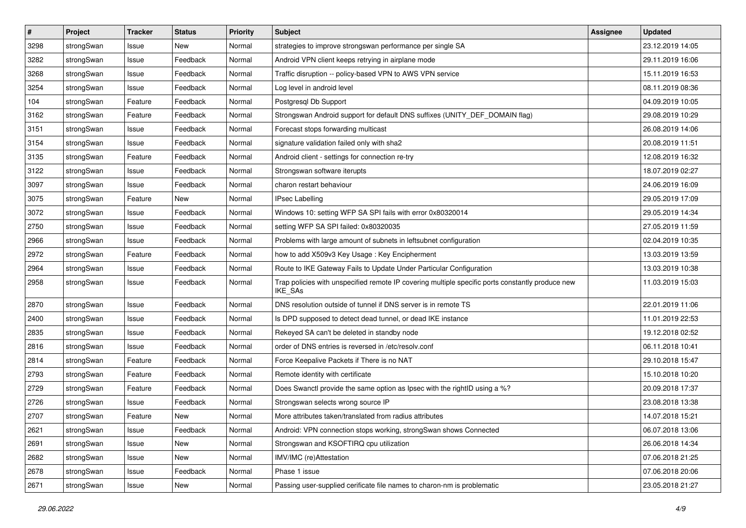| $\pmb{\#}$ | Project    | <b>Tracker</b> | <b>Status</b> | <b>Priority</b> | <b>Subject</b>                                                                                              | Assignee | <b>Updated</b>   |
|------------|------------|----------------|---------------|-----------------|-------------------------------------------------------------------------------------------------------------|----------|------------------|
| 3298       | strongSwan | Issue          | New           | Normal          | strategies to improve strongswan performance per single SA                                                  |          | 23.12.2019 14:05 |
| 3282       | strongSwan | Issue          | Feedback      | Normal          | Android VPN client keeps retrying in airplane mode                                                          |          | 29.11.2019 16:06 |
| 3268       | strongSwan | Issue          | Feedback      | Normal          | Traffic disruption -- policy-based VPN to AWS VPN service                                                   |          | 15.11.2019 16:53 |
| 3254       | strongSwan | lssue          | Feedback      | Normal          | Log level in android level                                                                                  |          | 08.11.2019 08:36 |
| 104        | strongSwan | Feature        | Feedback      | Normal          | Postgresql Db Support                                                                                       |          | 04.09.2019 10:05 |
| 3162       | strongSwan | Feature        | Feedback      | Normal          | Strongswan Android support for default DNS suffixes (UNITY_DEF_DOMAIN flag)                                 |          | 29.08.2019 10:29 |
| 3151       | strongSwan | Issue          | Feedback      | Normal          | Forecast stops forwarding multicast                                                                         |          | 26.08.2019 14:06 |
| 3154       | strongSwan | Issue          | Feedback      | Normal          | signature validation failed only with sha2                                                                  |          | 20.08.2019 11:51 |
| 3135       | strongSwan | Feature        | Feedback      | Normal          | Android client - settings for connection re-try                                                             |          | 12.08.2019 16:32 |
| 3122       | strongSwan | Issue          | Feedback      | Normal          | Strongswan software iterupts                                                                                |          | 18.07.2019 02:27 |
| 3097       | strongSwan | Issue          | Feedback      | Normal          | charon restart behaviour                                                                                    |          | 24.06.2019 16:09 |
| 3075       | strongSwan | Feature        | New           | Normal          | <b>IPsec Labelling</b>                                                                                      |          | 29.05.2019 17:09 |
| 3072       | strongSwan | Issue          | Feedback      | Normal          | Windows 10: setting WFP SA SPI fails with error 0x80320014                                                  |          | 29.05.2019 14:34 |
| 2750       | strongSwan | lssue          | Feedback      | Normal          | setting WFP SA SPI failed: 0x80320035                                                                       |          | 27.05.2019 11:59 |
| 2966       | strongSwan | Issue          | Feedback      | Normal          | Problems with large amount of subnets in leftsubnet configuration                                           |          | 02.04.2019 10:35 |
| 2972       | strongSwan | Feature        | Feedback      | Normal          | how to add X509v3 Key Usage: Key Encipherment                                                               |          | 13.03.2019 13:59 |
| 2964       | strongSwan | Issue          | Feedback      | Normal          | Route to IKE Gateway Fails to Update Under Particular Configuration                                         |          | 13.03.2019 10:38 |
| 2958       | strongSwan | Issue          | Feedback      | Normal          | Trap policies with unspecified remote IP covering multiple specific ports constantly produce new<br>IKE_SAs |          | 11.03.2019 15:03 |
| 2870       | strongSwan | Issue          | Feedback      | Normal          | DNS resolution outside of tunnel if DNS server is in remote TS                                              |          | 22.01.2019 11:06 |
| 2400       | strongSwan | Issue          | Feedback      | Normal          | Is DPD supposed to detect dead tunnel, or dead IKE instance                                                 |          | 11.01.2019 22:53 |
| 2835       | strongSwan | lssue          | Feedback      | Normal          | Rekeyed SA can't be deleted in standby node                                                                 |          | 19.12.2018 02:52 |
| 2816       | strongSwan | Issue          | Feedback      | Normal          | order of DNS entries is reversed in /etc/resolv.conf                                                        |          | 06.11.2018 10:41 |
| 2814       | strongSwan | Feature        | Feedback      | Normal          | Force Keepalive Packets if There is no NAT                                                                  |          | 29.10.2018 15:47 |
| 2793       | strongSwan | Feature        | Feedback      | Normal          | Remote identity with certificate                                                                            |          | 15.10.2018 10:20 |
| 2729       | strongSwan | Feature        | Feedback      | Normal          | Does Swanctl provide the same option as Ipsec with the rightID using a %?                                   |          | 20.09.2018 17:37 |
| 2726       | strongSwan | Issue          | Feedback      | Normal          | Strongswan selects wrong source IP                                                                          |          | 23.08.2018 13:38 |
| 2707       | strongSwan | Feature        | New           | Normal          | More attributes taken/translated from radius attributes                                                     |          | 14.07.2018 15:21 |
| 2621       | strongSwan | Issue          | Feedback      | Normal          | Android: VPN connection stops working, strongSwan shows Connected                                           |          | 06.07.2018 13:06 |
| 2691       | strongSwan | Issue          | New           | Normal          | Strongswan and KSOFTIRQ cpu utilization                                                                     |          | 26.06.2018 14:34 |
| 2682       | strongSwan | Issue          | New           | Normal          | IMV/IMC (re)Attestation                                                                                     |          | 07.06.2018 21:25 |
| 2678       | strongSwan | Issue          | Feedback      | Normal          | Phase 1 issue                                                                                               |          | 07.06.2018 20:06 |
| 2671       | strongSwan | Issue          | New           | Normal          | Passing user-supplied cerificate file names to charon-nm is problematic                                     |          | 23.05.2018 21:27 |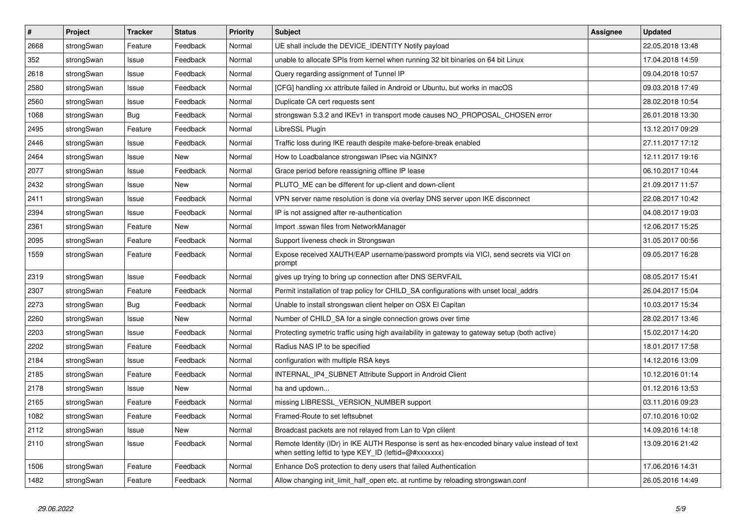| $\pmb{\#}$ | Project    | <b>Tracker</b> | <b>Status</b> | <b>Priority</b> | <b>Subject</b>                                                                                                                                          | <b>Assignee</b> | <b>Updated</b>   |
|------------|------------|----------------|---------------|-----------------|---------------------------------------------------------------------------------------------------------------------------------------------------------|-----------------|------------------|
| 2668       | strongSwan | Feature        | Feedback      | Normal          | UE shall include the DEVICE_IDENTITY Notify payload                                                                                                     |                 | 22.05.2018 13:48 |
| 352        | strongSwan | Issue          | Feedback      | Normal          | unable to allocate SPIs from kernel when running 32 bit binaries on 64 bit Linux                                                                        |                 | 17.04.2018 14:59 |
| 2618       | strongSwan | Issue          | Feedback      | Normal          | Query regarding assignment of Tunnel IP                                                                                                                 |                 | 09.04.2018 10:57 |
| 2580       | strongSwan | Issue          | Feedback      | Normal          | [CFG] handling xx attribute failed in Android or Ubuntu, but works in macOS                                                                             |                 | 09.03.2018 17:49 |
| 2560       | strongSwan | Issue          | Feedback      | Normal          | Duplicate CA cert requests sent                                                                                                                         |                 | 28.02.2018 10:54 |
| 1068       | strongSwan | <b>Bug</b>     | Feedback      | Normal          | strongswan 5.3.2 and IKEv1 in transport mode causes NO PROPOSAL CHOSEN error                                                                            |                 | 26.01.2018 13:30 |
| 2495       | strongSwan | Feature        | Feedback      | Normal          | LibreSSL Plugin                                                                                                                                         |                 | 13.12.2017 09:29 |
| 2446       | strongSwan | Issue          | Feedback      | Normal          | Traffic loss during IKE reauth despite make-before-break enabled                                                                                        |                 | 27.11.2017 17:12 |
| 2464       | strongSwan | Issue          | New           | Normal          | How to Loadbalance strongswan IPsec via NGINX?                                                                                                          |                 | 12.11.2017 19:16 |
| 2077       | strongSwan | Issue          | Feedback      | Normal          | Grace period before reassigning offline IP lease                                                                                                        |                 | 06.10.2017 10:44 |
| 2432       | strongSwan | Issue          | New           | Normal          | PLUTO_ME can be different for up-client and down-client                                                                                                 |                 | 21.09.2017 11:57 |
| 2411       | strongSwan | Issue          | Feedback      | Normal          | VPN server name resolution is done via overlay DNS server upon IKE disconnect                                                                           |                 | 22.08.2017 10:42 |
| 2394       | strongSwan | Issue          | Feedback      | Normal          | IP is not assigned after re-authentication                                                                                                              |                 | 04.08.2017 19:03 |
| 2361       | strongSwan | Feature        | New           | Normal          | Import .sswan files from NetworkManager                                                                                                                 |                 | 12.06.2017 15:25 |
| 2095       | strongSwan | Feature        | Feedback      | Normal          | Support liveness check in Strongswan                                                                                                                    |                 | 31.05.2017 00:56 |
| 1559       | strongSwan | Feature        | Feedback      | Normal          | Expose received XAUTH/EAP username/password prompts via VICI, send secrets via VICI on<br>prompt                                                        |                 | 09.05.2017 16:28 |
| 2319       | strongSwan | Issue          | Feedback      | Normal          | gives up trying to bring up connection after DNS SERVFAIL                                                                                               |                 | 08.05.2017 15:41 |
| 2307       | strongSwan | Feature        | Feedback      | Normal          | Permit installation of trap policy for CHILD_SA configurations with unset local_addrs                                                                   |                 | 26.04.2017 15:04 |
| 2273       | strongSwan | Bug            | Feedback      | Normal          | Unable to install strongswan client helper on OSX El Capitan                                                                                            |                 | 10.03.2017 15:34 |
| 2260       | strongSwan | Issue          | New           | Normal          | Number of CHILD SA for a single connection grows over time                                                                                              |                 | 28.02.2017 13:46 |
| 2203       | strongSwan | Issue          | Feedback      | Normal          | Protecting symetric traffic using high availability in gateway to gateway setup (both active)                                                           |                 | 15.02.2017 14:20 |
| 2202       | strongSwan | Feature        | Feedback      | Normal          | Radius NAS IP to be specified                                                                                                                           |                 | 18.01.2017 17:58 |
| 2184       | strongSwan | Issue          | Feedback      | Normal          | configuration with multiple RSA keys                                                                                                                    |                 | 14.12.2016 13:09 |
| 2185       | strongSwan | Feature        | Feedback      | Normal          | INTERNAL_IP4_SUBNET Attribute Support in Android Client                                                                                                 |                 | 10.12.2016 01:14 |
| 2178       | strongSwan | Issue          | New           | Normal          | ha and updown                                                                                                                                           |                 | 01.12.2016 13:53 |
| 2165       | strongSwan | Feature        | Feedback      | Normal          | missing LIBRESSL VERSION NUMBER support                                                                                                                 |                 | 03.11.2016 09:23 |
| 1082       | strongSwan | Feature        | Feedback      | Normal          | Framed-Route to set leftsubnet                                                                                                                          |                 | 07.10.2016 10:02 |
| 2112       | strongSwan | Issue          | New           | Normal          | Broadcast packets are not relayed from Lan to Vpn clilent                                                                                               |                 | 14.09.2016 14:18 |
| 2110       | strongSwan | Issue          | Feedback      | Normal          | Remote Identity (IDr) in IKE AUTH Response is sent as hex-encoded binary value instead of text<br>when setting leftid to type KEY_ID (leftid=@#xxxxxxx) |                 | 13.09.2016 21:42 |
| 1506       | strongSwan | Feature        | Feedback      | Normal          | Enhance DoS protection to deny users that failed Authentication                                                                                         |                 | 17.06.2016 14:31 |
| 1482       | strongSwan | Feature        | Feedback      | Normal          | Allow changing init_limit_half_open etc. at runtime by reloading strongswan.conf                                                                        |                 | 26.05.2016 14:49 |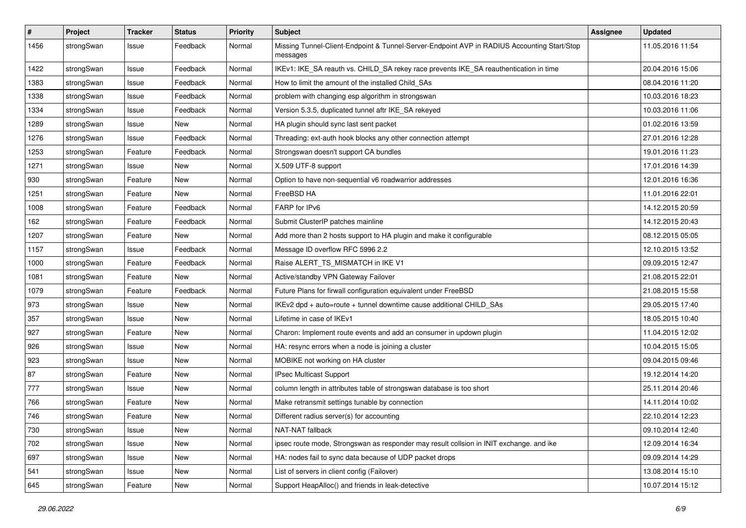| #    | Project    | <b>Tracker</b> | <b>Status</b> | <b>Priority</b> | <b>Subject</b>                                                                                          | <b>Assignee</b> | <b>Updated</b>   |
|------|------------|----------------|---------------|-----------------|---------------------------------------------------------------------------------------------------------|-----------------|------------------|
| 1456 | strongSwan | Issue          | Feedback      | Normal          | Missing Tunnel-Client-Endpoint & Tunnel-Server-Endpoint AVP in RADIUS Accounting Start/Stop<br>messages |                 | 11.05.2016 11:54 |
| 1422 | strongSwan | Issue          | Feedback      | Normal          | IKEv1: IKE_SA reauth vs. CHILD_SA rekey race prevents IKE_SA reauthentication in time                   |                 | 20.04.2016 15:06 |
| 1383 | strongSwan | Issue          | Feedback      | Normal          | How to limit the amount of the installed Child SAs                                                      |                 | 08.04.2016 11:20 |
| 1338 | strongSwan | Issue          | Feedback      | Normal          | problem with changing esp algorithm in strongswan                                                       |                 | 10.03.2016 18:23 |
| 1334 | strongSwan | Issue          | Feedback      | Normal          | Version 5.3.5, duplicated tunnel aftr IKE_SA rekeyed                                                    |                 | 10.03.2016 11:06 |
| 1289 | strongSwan | Issue          | <b>New</b>    | Normal          | HA plugin should sync last sent packet                                                                  |                 | 01.02.2016 13:59 |
| 1276 | strongSwan | Issue          | Feedback      | Normal          | Threading: ext-auth hook blocks any other connection attempt                                            |                 | 27.01.2016 12:28 |
| 1253 | strongSwan | Feature        | Feedback      | Normal          | Strongswan doesn't support CA bundles                                                                   |                 | 19.01.2016 11:23 |
| 1271 | strongSwan | Issue          | New           | Normal          | X.509 UTF-8 support                                                                                     |                 | 17.01.2016 14:39 |
| 930  | strongSwan | Feature        | <b>New</b>    | Normal          | Option to have non-sequential v6 roadwarrior addresses                                                  |                 | 12.01.2016 16:36 |
| 1251 | strongSwan | Feature        | New           | Normal          | FreeBSD HA                                                                                              |                 | 11.01.2016 22:01 |
| 1008 | strongSwan | Feature        | Feedback      | Normal          | FARP for IPv6                                                                                           |                 | 14.12.2015 20:59 |
| 162  | strongSwan | Feature        | Feedback      | Normal          | Submit ClusterIP patches mainline                                                                       |                 | 14.12.2015 20:43 |
| 1207 | strongSwan | Feature        | New           | Normal          | Add more than 2 hosts support to HA plugin and make it configurable                                     |                 | 08.12.2015 05:05 |
| 1157 | strongSwan | Issue          | Feedback      | Normal          | Message ID overflow RFC 5996 2.2                                                                        |                 | 12.10.2015 13:52 |
| 1000 | strongSwan | Feature        | Feedback      | Normal          | Raise ALERT TS MISMATCH in IKE V1                                                                       |                 | 09.09.2015 12:47 |
| 1081 | strongSwan | Feature        | New           | Normal          | Active/standby VPN Gateway Failover                                                                     |                 | 21.08.2015 22:01 |
| 1079 | strongSwan | Feature        | Feedback      | Normal          | Future Plans for firwall configuration equivalent under FreeBSD                                         |                 | 21.08.2015 15:58 |
| 973  | strongSwan | Issue          | New           | Normal          | IKEv2 dpd + auto=route + tunnel downtime cause additional CHILD_SAs                                     |                 | 29.05.2015 17:40 |
| 357  | strongSwan | Issue          | New           | Normal          | Lifetime in case of IKEv1                                                                               |                 | 18.05.2015 10:40 |
| 927  | strongSwan | Feature        | <b>New</b>    | Normal          | Charon: Implement route events and add an consumer in updown plugin                                     |                 | 11.04.2015 12:02 |
| 926  | strongSwan | Issue          | New           | Normal          | HA: resync errors when a node is joining a cluster                                                      |                 | 10.04.2015 15:05 |
| 923  | strongSwan | Issue          | New           | Normal          | MOBIKE not working on HA cluster                                                                        |                 | 09.04.2015 09:46 |
| 87   | strongSwan | Feature        | <b>New</b>    | Normal          | IPsec Multicast Support                                                                                 |                 | 19.12.2014 14:20 |
| 777  | strongSwan | Issue          | <b>New</b>    | Normal          | column length in attributes table of strongswan database is too short                                   |                 | 25.11.2014 20:46 |
| 766  | strongSwan | Feature        | New           | Normal          | Make retransmit settings tunable by connection                                                          |                 | 14.11.2014 10:02 |
| 746  | strongSwan | Feature        | New           | Normal          | Different radius server(s) for accounting                                                               |                 | 22.10.2014 12:23 |
| 730  | strongSwan | Issue          | New           | Normal          | NAT-NAT fallback                                                                                        |                 | 09.10.2014 12:40 |
| 702  | strongSwan | Issue          | New           | Normal          | ipsec route mode, Strongswan as responder may result collsion in INIT exchange. and ike                 |                 | 12.09.2014 16:34 |
| 697  | strongSwan | Issue          | New           | Normal          | HA: nodes fail to sync data because of UDP packet drops                                                 |                 | 09.09.2014 14:29 |
| 541  | strongSwan | Issue          | New           | Normal          | List of servers in client config (Failover)                                                             |                 | 13.08.2014 15:10 |
| 645  | strongSwan | Feature        | New           | Normal          | Support HeapAlloc() and friends in leak-detective                                                       |                 | 10.07.2014 15:12 |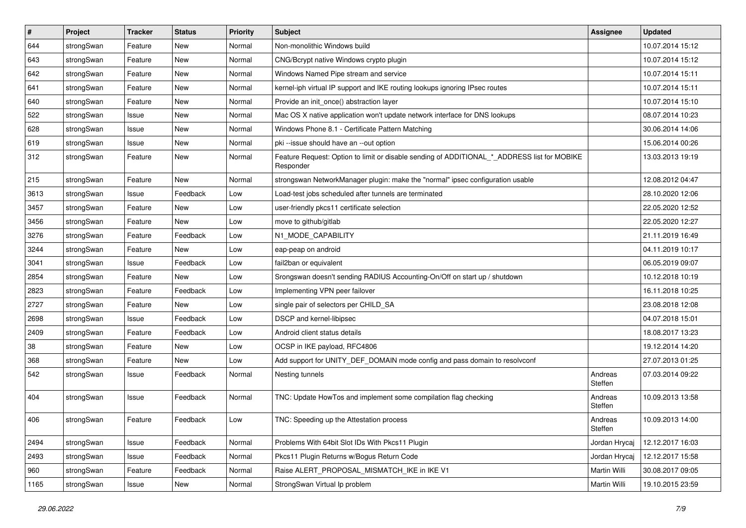| $\sharp$ | Project    | <b>Tracker</b> | <b>Status</b> | <b>Priority</b> | <b>Subject</b>                                                                                           | <b>Assignee</b>    | <b>Updated</b>   |
|----------|------------|----------------|---------------|-----------------|----------------------------------------------------------------------------------------------------------|--------------------|------------------|
| 644      | strongSwan | Feature        | New           | Normal          | Non-monolithic Windows build                                                                             |                    | 10.07.2014 15:12 |
| 643      | strongSwan | Feature        | <b>New</b>    | Normal          | CNG/Bcrypt native Windows crypto plugin                                                                  |                    | 10.07.2014 15:12 |
| 642      | strongSwan | Feature        | New           | Normal          | Windows Named Pipe stream and service                                                                    |                    | 10.07.2014 15:11 |
| 641      | strongSwan | Feature        | New           | Normal          | kernel-iph virtual IP support and IKE routing lookups ignoring IPsec routes                              |                    | 10.07.2014 15:11 |
| 640      | strongSwan | Feature        | <b>New</b>    | Normal          | Provide an init_once() abstraction layer                                                                 |                    | 10.07.2014 15:10 |
| 522      | strongSwan | Issue          | New           | Normal          | Mac OS X native application won't update network interface for DNS lookups                               |                    | 08.07.2014 10:23 |
| 628      | strongSwan | Issue          | <b>New</b>    | Normal          | Windows Phone 8.1 - Certificate Pattern Matching                                                         |                    | 30.06.2014 14:06 |
| 619      | strongSwan | Issue          | New           | Normal          | pki --issue should have an --out option                                                                  |                    | 15.06.2014 00:26 |
| 312      | strongSwan | Feature        | New           | Normal          | Feature Request: Option to limit or disable sending of ADDITIONAL_*_ADDRESS list for MOBIKE<br>Responder |                    | 13.03.2013 19:19 |
| 215      | strongSwan | Feature        | <b>New</b>    | Normal          | strongswan NetworkManager plugin: make the "normal" ipsec configuration usable                           |                    | 12.08.2012 04:47 |
| 3613     | strongSwan | Issue          | Feedback      | Low             | Load-test jobs scheduled after tunnels are terminated                                                    |                    | 28.10.2020 12:06 |
| 3457     | strongSwan | Feature        | New           | Low             | user-friendly pkcs11 certificate selection                                                               |                    | 22.05.2020 12:52 |
| 3456     | strongSwan | Feature        | New           | Low             | move to github/gitlab                                                                                    |                    | 22.05.2020 12:27 |
| 3276     | strongSwan | Feature        | Feedback      | Low             | N1_MODE_CAPABILITY                                                                                       |                    | 21.11.2019 16:49 |
| 3244     | strongSwan | Feature        | New           | Low             | eap-peap on android                                                                                      |                    | 04.11.2019 10:17 |
| 3041     | strongSwan | Issue          | Feedback      | Low             | fail2ban or equivalent                                                                                   |                    | 06.05.2019 09:07 |
| 2854     | strongSwan | Feature        | New           | Low             | Srongswan doesn't sending RADIUS Accounting-On/Off on start up / shutdown                                |                    | 10.12.2018 10:19 |
| 2823     | strongSwan | Feature        | Feedback      | Low             | Implementing VPN peer failover                                                                           |                    | 16.11.2018 10:25 |
| 2727     | strongSwan | Feature        | <b>New</b>    | Low             | single pair of selectors per CHILD_SA                                                                    |                    | 23.08.2018 12:08 |
| 2698     | strongSwan | Issue          | Feedback      | Low             | DSCP and kernel-libipsec                                                                                 |                    | 04.07.2018 15:01 |
| 2409     | strongSwan | Feature        | Feedback      | Low             | Android client status details                                                                            |                    | 18.08.2017 13:23 |
| 38       | strongSwan | Feature        | <b>New</b>    | Low             | OCSP in IKE payload, RFC4806                                                                             |                    | 19.12.2014 14:20 |
| 368      | strongSwan | Feature        | New           | Low             | Add support for UNITY_DEF_DOMAIN mode config and pass domain to resolvconf                               |                    | 27.07.2013 01:25 |
| 542      | strongSwan | Issue          | Feedback      | Normal          | Nesting tunnels                                                                                          | Andreas<br>Steffen | 07.03.2014 09:22 |
| 404      | strongSwan | Issue          | Feedback      | Normal          | TNC: Update HowTos and implement some compilation flag checking                                          | Andreas<br>Steffen | 10.09.2013 13:58 |
| 406      | strongSwan | Feature        | Feedback      | Low             | TNC: Speeding up the Attestation process                                                                 | Andreas<br>Steffen | 10.09.2013 14:00 |
| 2494     | strongSwan | Issue          | Feedback      | Normal          | Problems With 64bit Slot IDs With Pkcs11 Plugin                                                          | Jordan Hrycaj      | 12.12.2017 16:03 |
| 2493     | strongSwan | Issue          | Feedback      | Normal          | Pkcs11 Plugin Returns w/Bogus Return Code                                                                | Jordan Hrycaj      | 12.12.2017 15:58 |
| 960      | strongSwan | Feature        | Feedback      | Normal          | Raise ALERT_PROPOSAL_MISMATCH_IKE in IKE V1                                                              | Martin Willi       | 30.08.2017 09:05 |
| 1165     | strongSwan | Issue          | New           | Normal          | StrongSwan Virtual Ip problem                                                                            | Martin Willi       | 19.10.2015 23:59 |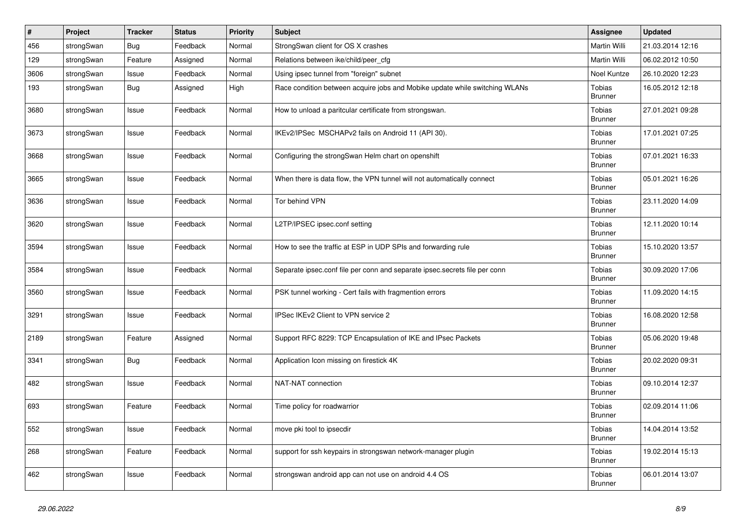| #    | Project    | Tracker    | <b>Status</b> | <b>Priority</b> | Subject                                                                     | <b>Assignee</b>          | <b>Updated</b>   |
|------|------------|------------|---------------|-----------------|-----------------------------------------------------------------------------|--------------------------|------------------|
| 456  | strongSwan | <b>Bug</b> | Feedback      | Normal          | StrongSwan client for OS X crashes                                          | Martin Willi             | 21.03.2014 12:16 |
| 129  | strongSwan | Feature    | Assigned      | Normal          | Relations between ike/child/peer_cfg                                        | Martin Willi             | 06.02.2012 10:50 |
| 3606 | strongSwan | Issue      | Feedback      | Normal          | Using ipsec tunnel from "foreign" subnet                                    | Noel Kuntze              | 26.10.2020 12:23 |
| 193  | strongSwan | Bug        | Assigned      | High            | Race condition between acquire jobs and Mobike update while switching WLANs | Tobias<br><b>Brunner</b> | 16.05.2012 12:18 |
| 3680 | strongSwan | Issue      | Feedback      | Normal          | How to unload a paritcular certificate from strongswan.                     | Tobias<br><b>Brunner</b> | 27.01.2021 09:28 |
| 3673 | strongSwan | Issue      | Feedback      | Normal          | IKEv2/IPSec MSCHAPv2 fails on Android 11 (API 30).                          | Tobias<br><b>Brunner</b> | 17.01.2021 07:25 |
| 3668 | strongSwan | Issue      | Feedback      | Normal          | Configuring the strongSwan Helm chart on openshift                          | Tobias<br><b>Brunner</b> | 07.01.2021 16:33 |
| 3665 | strongSwan | Issue      | Feedback      | Normal          | When there is data flow, the VPN tunnel will not automatically connect      | Tobias<br><b>Brunner</b> | 05.01.2021 16:26 |
| 3636 | strongSwan | Issue      | Feedback      | Normal          | Tor behind VPN                                                              | Tobias<br><b>Brunner</b> | 23.11.2020 14:09 |
| 3620 | strongSwan | Issue      | Feedback      | Normal          | L2TP/IPSEC ipsec.conf setting                                               | Tobias<br><b>Brunner</b> | 12.11.2020 10:14 |
| 3594 | strongSwan | Issue      | Feedback      | Normal          | How to see the traffic at ESP in UDP SPIs and forwarding rule               | Tobias<br>Brunner        | 15.10.2020 13:57 |
| 3584 | strongSwan | Issue      | Feedback      | Normal          | Separate ipsec.conf file per conn and separate ipsec.secrets file per conn  | Tobias<br><b>Brunner</b> | 30.09.2020 17:06 |
| 3560 | strongSwan | Issue      | Feedback      | Normal          | PSK tunnel working - Cert fails with fragmention errors                     | Tobias<br><b>Brunner</b> | 11.09.2020 14:15 |
| 3291 | strongSwan | Issue      | Feedback      | Normal          | IPSec IKEv2 Client to VPN service 2                                         | Tobias<br><b>Brunner</b> | 16.08.2020 12:58 |
| 2189 | strongSwan | Feature    | Assigned      | Normal          | Support RFC 8229: TCP Encapsulation of IKE and IPsec Packets                | Tobias<br><b>Brunner</b> | 05.06.2020 19:48 |
| 3341 | strongSwan | <b>Bug</b> | Feedback      | Normal          | Application Icon missing on firestick 4K                                    | Tobias<br><b>Brunner</b> | 20.02.2020 09:31 |
| 482  | strongSwan | Issue      | Feedback      | Normal          | NAT-NAT connection                                                          | Tobias<br><b>Brunner</b> | 09.10.2014 12:37 |
| 693  | strongSwan | Feature    | Feedback      | Normal          | Time policy for roadwarrior                                                 | Tobias<br><b>Brunner</b> | 02.09.2014 11:06 |
| 552  | strongSwan | Issue      | Feedback      | Normal          | move pki tool to ipsecdir                                                   | Tobias<br><b>Brunner</b> | 14.04.2014 13:52 |
| 268  | strongSwan | Feature    | Feedback      | Normal          | support for ssh keypairs in strongswan network-manager plugin               | Tobias<br><b>Brunner</b> | 19.02.2014 15:13 |
| 462  | strongSwan | Issue      | Feedback      | Normal          | strongswan android app can not use on android 4.4 OS                        | Tobias<br><b>Brunner</b> | 06.01.2014 13:07 |